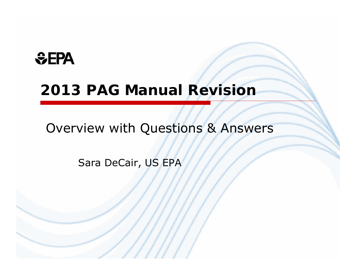## *<u>GEPA</u>*

## **2013 PAG Manual Revision**

Overview with Questions & Answers

Sara DeCair, US EPA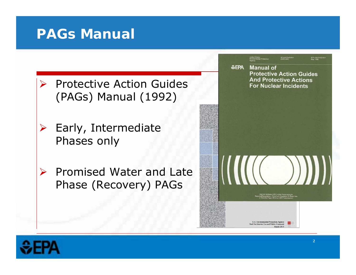### **PAGs Manual**

- $\sum_{i=1}^{n}$  Protective Action Guides (PAGs) Manual (1992)
- $\sum_{i=1}^{n}$  Early, Intermediate Phases only
- $\blacktriangleright$  Promised Water and Late Phase (Recovery) PAGs



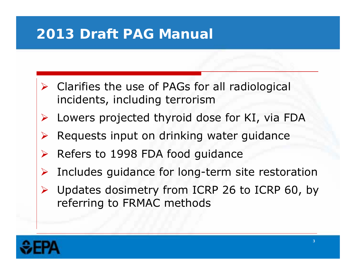## **2013 Draft PAG Manual**

- $\triangleright$  Clarifies the use of PAGs for all radiological incidents, including terrorism
- Lowers projected thyroid dose for KI, via FDA
- $\blacktriangleright$ Requests input on drinking water guidance
- $\triangleright$  Refers to 1998 FDA food guidance
- $\blacktriangleright$ Includes guidance for long-term site restoration
- Updates dosimetry from ICRP 26 to ICRP 60, by referring to FRMAC methods

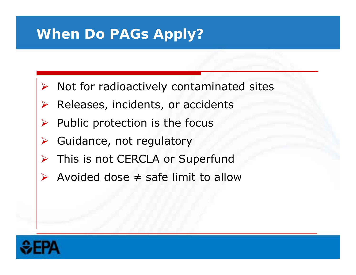### **When Do PAGs Apply?**

- $\blacktriangleright$ Not for radioactively contaminated sites
- $\blacktriangleright$ Releases, incidents, or accidents
- $\blacktriangleright$ Public protection is the focus
- $\blacktriangleright$ Guidance, not regulatory
- $\blacktriangleright$ This is not CERCLA or Superfund
- $\blacktriangleright$  $\triangleright$  Avoided dose  $\neq$  safe limit to allow

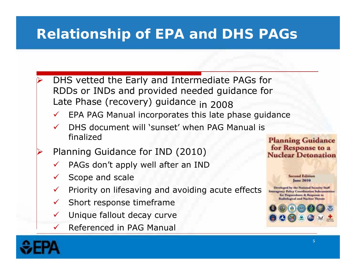## **Relationship of EPA and DHS PAGs**

- $\blacktriangleright$  DHS vetted the Early and Intermediate PAGs for RDDs or INDs and provided needed guidance for Late Phase (recovery) guidance in 2008
	- $\checkmark$ EPA PAG Manual incorporates this late phase guidance
	- $\checkmark$  DHS document will 'sunset' when PAG Manual is finalized
	- Planning Guidance for IND (2010)
	- $\checkmark$ PAGs don't apply well after an IND
	- $\checkmark$ Scope and scale
	- $\checkmark$ Priority on lifesaving and avoiding acute effects
	- $\checkmark$ Short response timeframe
	- $\checkmark$ Unique fallout decay curve
	- $\checkmark$ Referenced in PAG Manual



**June 2010** 

**Planning Guidance** 





 $\blacktriangleright$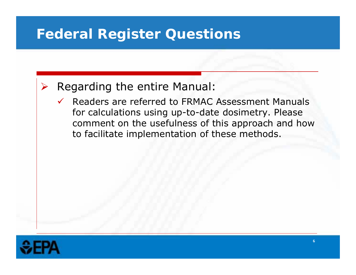### $\blacktriangleright$ Regarding the entire Manual:

 $\checkmark$  Readers are referred to FRMAC Assessment Manuals for calculations using up-to-date dosimetry. Please comment on the usefulness of this approach and how to facilitate implementation of these methods.

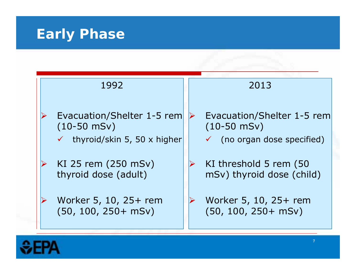# **Early Phase**

| 1992                                     | 2013                                   |  |
|------------------------------------------|----------------------------------------|--|
| Evacuation/Shelter 1-5 rem               | Evacuation/Shelter 1-5 rem             |  |
| $(10-50$ mSv)                            | $(10 - 50$ mSv)                        |  |
| $\checkmark$ thyroid/skin 5, 50 x higher | $\checkmark$ (no organ dose specified) |  |
| KI 25 rem (250 mSv)                      | KI threshold 5 rem (50                 |  |
| thyroid dose (adult)                     | mSv) thyroid dose (child)              |  |
| Worker 5, 10, 25+ rem                    | Worker 5, 10, 25+ rem                  |  |
| $(50, 100, 250 + mSv)$                   | $(50, 100, 250 + mSv)$                 |  |

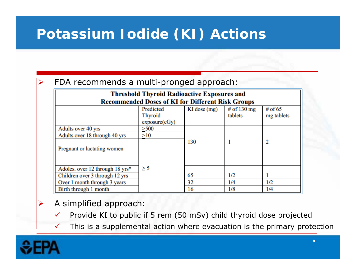## **Potassium Iodide (KI) Actions**

### FDA recommends a multi-pronged approach:

| <b>Threshold Thyroid Radioactive Exposures and</b>       |                                              |                  |                        |                         |  |
|----------------------------------------------------------|----------------------------------------------|------------------|------------------------|-------------------------|--|
| <b>Recommended Doses of KI for Different Risk Groups</b> |                                              |                  |                        |                         |  |
|                                                          | Predicted<br><b>Thyroid</b><br>exposure(cGy) | $KI$ dose $(mg)$ | # of 130 mg<br>tablets | # of $65$<br>mg tablets |  |
| Adults over 40 yrs                                       | >500                                         |                  |                        |                         |  |
| Adults over 18 through 40 yrs                            | >10                                          |                  |                        |                         |  |
| Pregnant or lactating women                              |                                              | 130              |                        | 2                       |  |
| Adoles. over 12 through 18 yrs*                          | $\geq$ 5                                     |                  |                        |                         |  |
| Children over 3 through 12 yrs                           |                                              | 65               | 1/2                    |                         |  |
| Over 1 month through 3 years                             |                                              | 32               | 1/4                    | 1/2                     |  |
| Birth through 1 month                                    |                                              | 16               | 1/8                    | 1/4                     |  |

### A simplified approach:

- $\checkmark$ Provide KI to public if 5 rem (50 mSv) child thyroid dose projected
- $\checkmark$ This is a supplemental action where evacuation is the primary protection



 $\blacktriangleright$ 

➤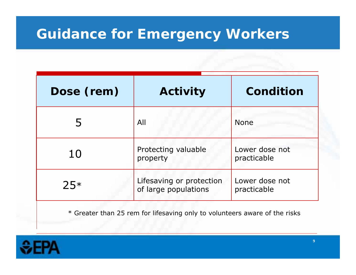### **Guidance for Emergency Workers**

| Dose (rem) | <b>Activity</b>                                  | <b>Condition</b>              |  |
|------------|--------------------------------------------------|-------------------------------|--|
| 5          | All                                              | <b>None</b>                   |  |
| 10         | Protecting valuable<br>property                  | Lower dose not<br>practicable |  |
| $25*$      | Lifesaving or protection<br>of large populations | Lower dose not<br>practicable |  |

\* Greater than 25 rem for lifesaving only to volunteers aware of the risks

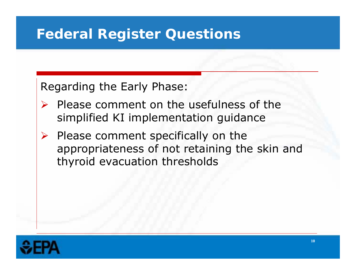Regarding the Early Phase:

- $\triangleright$  Please comment on the usefulness of the simplified KI implementation guidance
- $\blacktriangleright$  Please comment specifically on the appropriateness of not retaining the skin and thyroid evacuation thresholds

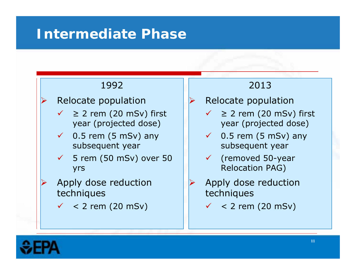### **Intermediate Phase**

### Relocate population

- $\checkmark$  > 2 rem (20 mSv) first
- $\checkmark$  0.5 rem (5 mSv) any subsequent year subsequent year
- $\checkmark$  5 rem (50 mSv) over 50 yrs **Relocation PAG**)
- $\blacktriangleright$  Apply dose reduction techniques techniques
	- $\checkmark$  < 2 rem (20 mSv)

### 1992 2013

- $\blacktriangleright$ Relocate population
- $\checkmark$  > 2 rem (20 mSv) first year (projected dose) year (projected dose)
	- $\checkmark$  0.5 rem (5 mSv) any
	- $\checkmark$  (removed 50-year)
	- $\blacktriangleright$  Apply dose reduction
		- $\checkmark$  < 2 rem (20 mSv)



 $\blacktriangleright$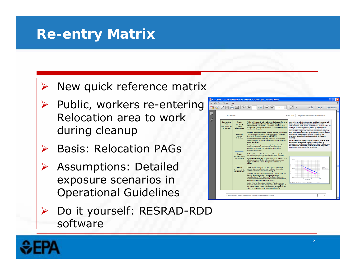### **Re-entry Matrix**

### $\blacktriangleright$ New quick reference matrix

- $\triangleright$  Public, workers re-entering Relocation area to work during cleanup
- **▶ Basis: Relocation PAGs**
- Assumptions: Detailed exposure scenarios in Operational Guidelines
- Do it yourself: RESRAD-RDD software



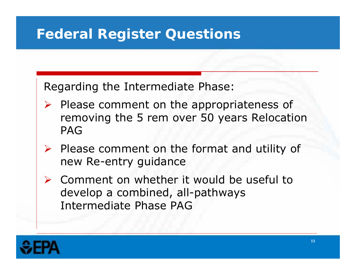Regarding the Intermediate Phase:

- $\sum_{i=1}^{n}$  Please comment on the appropriateness of removing the 5 rem over 50 years Relocation PAG
- $\triangleright$  Please comment on the format and utility of new Re-entry guidance
- Comment on whether it would be useful to develop a combined, all-pathways Intermediate Phase PAG

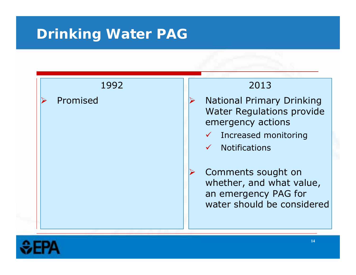### **Drinking Water PAG**



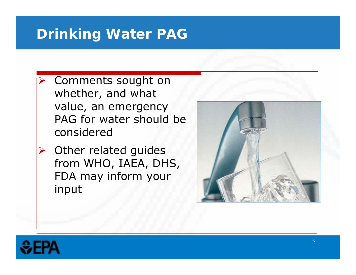### **Drinking Water PAG**

- $\blacktriangleright$  Comments sought on whether, and what value, an emergency PAG for water should be considered
- $\blacktriangleright$  Other related guides from WHO, IAEA, DHS, FDA may inform your input



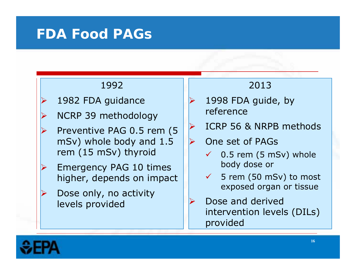### **FDA Food PAGs**

- $\blacktriangleright$
- $\blacktriangleright$ NCRP 39 methodology | reference
- $\blacktriangleright$ mSv) whole body and  $1.5$   $\triangleright$  One set of PAGs rem (15 mSv) thyroid
- $\blacktriangleright$  Emergency PAG 10 times higher, depends on impact
- $\blacktriangleright$  Dose only, no activity levels provided

### 1992 2013

- 1982 FDA guidance  $\vert\,\vert$  > 1998 FDA guide, by
- Preventive PAG 0.5 rem  $(5 \mid \text{P} \mid \text{ICRP 56 \& NRPB methods})$ 
	- - $\checkmark$  0.5 rem (5 mSv) whole body dose or
		- $\checkmark$  5 rem (50 mSv) to most exposed organ or tissue
	- $\blacktriangleright$  Dose and derived intervention levels (DILs) provided

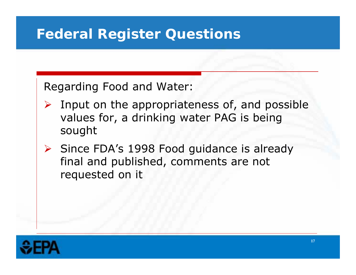Regarding Food and Water:

- $\sum_{i=1}^{n}$  Input on the appropriateness of, and possible values for, a drinking water PAG is being sought
- $\triangleright$  Since FDA's 1998 Food guidance is already final and published, comments are not requested on it

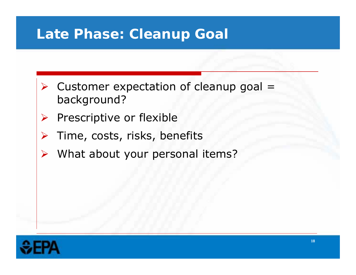### **Late Phase: Cleanup Goal**

- $\triangleright$  Customer expectation of cleanup goal = background?
- $\blacktriangleright$ Prescriptive or flexible
- $\blacktriangleright$ Time, costs, risks, benefits
- $\blacktriangleright$ What about your personal items?

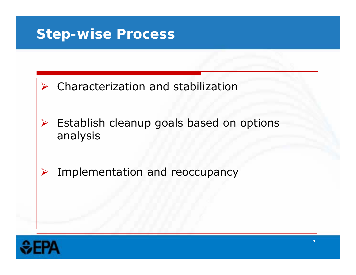### **Step-wise Process**

- $\triangleright$  Characterization and stabilization
- $\blacktriangleright$ Establish cleanup goals based on options analysis
- $\blacktriangleright$ Implementation and reoccupancy

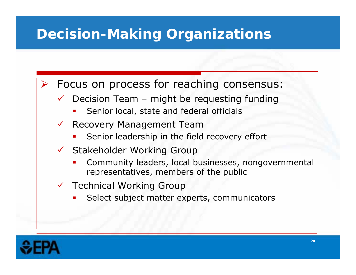## **Decision-Making Organizations**

 $\blacktriangleright$ Focus on process for reaching consensus:

- $\checkmark$  Decision Team – might be requesting funding
	- П Senior local, state and federal officials
- $\checkmark$  Recovery Management Team
	- П Senior leadership in the field recovery effort
- $\checkmark$  Stakeholder Working Group
	- □ Community leaders, local businesses, nongovernmental representatives, members of the public
- $\checkmark$  Technical Working Group
	- П Select subject matter experts, communicators

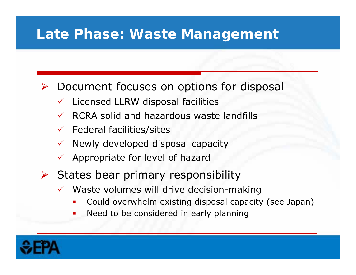### **Late Phase: Waste Management**

- $\blacktriangleright$  Document focuses on options for disposal
	- $\checkmark$ Licensed LLRW disposal facilities
	- $\checkmark$ RCRA solid and hazardous waste landfills
	- $\checkmark$  Federal facilities/sites
	- $\checkmark$  Newly developed disposal capacity
	- $\checkmark$  Appropriate for level of hazard
- $\blacktriangleright$  States bear primary responsibility
	- $\checkmark$  Waste volumes will drive decision-making
		- П Could overwhelm existing disposal capacity (see Japan)
		- □ Need to be considered in early planning

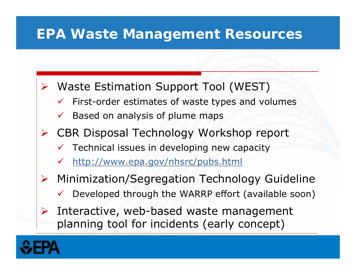### **EPA Waste Management Resources**

- $\blacktriangleright$  Waste Estimation Support Tool (WEST)
	- $\checkmark$ First-order estimates of waste types and volumes
	- $\checkmark$ Based on analysis of plume maps
- CBR Disposal Technology Workshop report
	- $\checkmark$ Technical issues in developing new capacity
	- $\checkmark$ http://www.epa.gov/nhsrc/pubs.html
- $\blacktriangleright$  Minimization/Segregation Technology Guideline
	- $\checkmark$ Developed through the WARRP effort (available soon)
- $\blacktriangleright$  Interactive, web-based waste management planning tool for incidents (early concept)

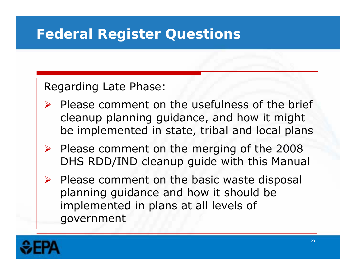### Regarding Late Phase:

- $\blacktriangleright$  Please comment on the usefulness of the brief cleanup planning guidance, and how it might be implemented in state, tribal and local plans
- $\triangleright$  Please comment on the merging of the 2008 DHS RDD/IND cleanup guide with this Manual
- $\blacktriangleright$  Please comment on the basic waste disposal planning guidance and how it should be implemented in plans at all levels of government